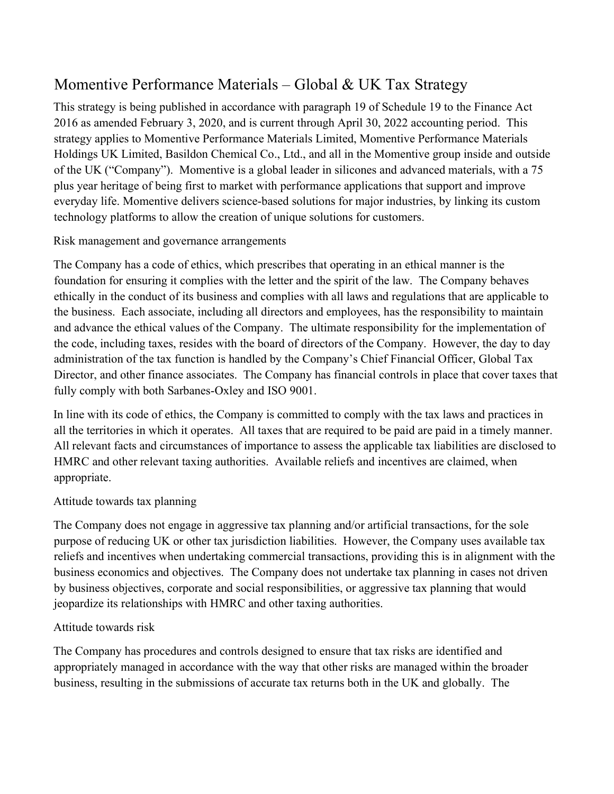# Momentive Performance Materials – Global & UK Tax Strategy

This strategy is being published in accordance with paragraph 19 of Schedule 19 to the Finance Act 2016 as amended February 3, 2020, and is current through April 30, 2022 accounting period. This strategy applies to Momentive Performance Materials Limited, Momentive Performance Materials Holdings UK Limited, Basildon Chemical Co., Ltd., and all in the Momentive group inside and outside of the UK ("Company"). Momentive is a global leader in silicones and advanced materials, with a 75 plus year heritage of being first to market with performance applications that support and improve everyday life. Momentive delivers science-based solutions for major industries, by linking its custom technology platforms to allow the creation of unique solutions for customers.

#### Risk management and governance arrangements

The Company has a code of ethics, which prescribes that operating in an ethical manner is the foundation for ensuring it complies with the letter and the spirit of the law. The Company behaves ethically in the conduct of its business and complies with all laws and regulations that are applicable to the business. Each associate, including all directors and employees, has the responsibility to maintain and advance the ethical values of the Company. The ultimate responsibility for the implementation of the code, including taxes, resides with the board of directors of the Company. However, the day to day administration of the tax function is handled by the Company's Chief Financial Officer, Global Tax Director, and other finance associates. The Company has financial controls in place that cover taxes that fully comply with both Sarbanes-Oxley and ISO 9001.

In line with its code of ethics, the Company is committed to comply with the tax laws and practices in all the territories in which it operates. All taxes that are required to be paid are paid in a timely manner. All relevant facts and circumstances of importance to assess the applicable tax liabilities are disclosed to HMRC and other relevant taxing authorities. Available reliefs and incentives are claimed, when appropriate.

## Attitude towards tax planning

The Company does not engage in aggressive tax planning and/or artificial transactions, for the sole purpose of reducing UK or other tax jurisdiction liabilities. However, the Company uses available tax reliefs and incentives when undertaking commercial transactions, providing this is in alignment with the business economics and objectives. The Company does not undertake tax planning in cases not driven by business objectives, corporate and social responsibilities, or aggressive tax planning that would jeopardize its relationships with HMRC and other taxing authorities.

## Attitude towards risk

The Company has procedures and controls designed to ensure that tax risks are identified and appropriately managed in accordance with the way that other risks are managed within the broader business, resulting in the submissions of accurate tax returns both in the UK and globally. The